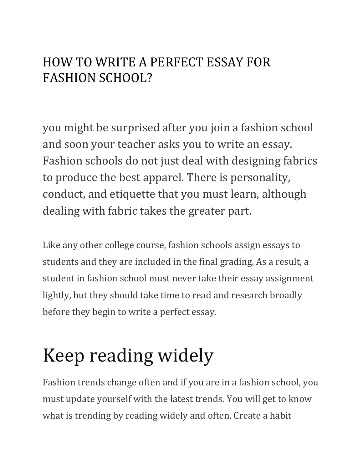#### HOW TO WRITE A PERFECT ESSAY FOR FASHION SCHOOL?

you might be surprised after you join a fashion school and soon your teacher asks you to write an essay. Fashion schools do not just deal with designing fabrics to produce the best apparel. There is personality, conduct, and etiquette that you must learn, although dealing with fabric takes the greater part.

Like any other college course, fashion schools assign essays to students and they are included in the final grading. As a result, a student in fashion school must never take their essay assignment lightly, but they should take time to read and research broadly before they begin to write a perfect essay.

# Keep reading widely

Fashion trends change often and if you are in a fashion school, you must update yourself with the latest trends. You will get to know what is trending by reading widely and often. Create a habit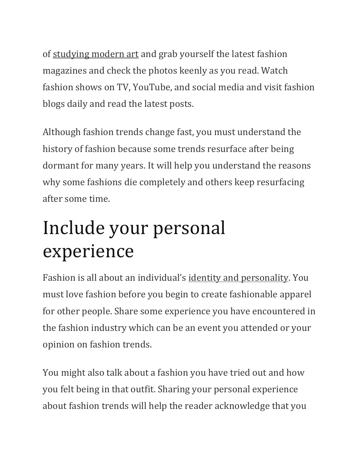of [studying modern art](https://fashionsizzle.com/2020/09/08/study-of-modern-art-at-university/) and grab yourself the latest fashion magazines and check the photos keenly as you read. Watch fashion shows on TV, YouTube, and social media and visit fashion blogs daily and read the latest posts.

Although fashion trends change fast, you must understand the history of fashion because some trends resurface after being dormant for many years. It will help you understand the reasons why some fashions die completely and others keep resurfacing after some time.

# Include your personal experience

Fashion is all about an individual's [identity and personality.](http://lessmagazine.com/fashion-and-identity-a-lifelong-relationship/) You must love fashion before you begin to create fashionable apparel for other people. Share some experience you have encountered in the fashion industry which can be an event you attended or your opinion on fashion trends.

You might also talk about a fashion you have tried out and how you felt being in that outfit. Sharing your personal experience about fashion trends will help the reader acknowledge that you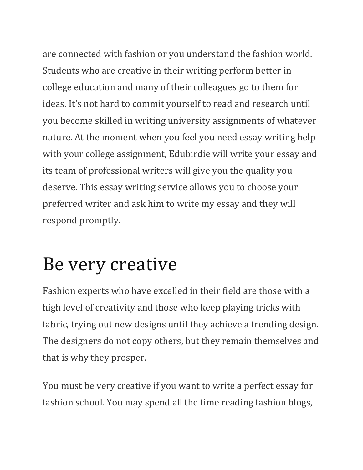are connected with fashion or you understand the fashion world. Students who are creative in their writing perform better in college education and many of their colleagues go to them for ideas. It's not hard to commit yourself to read and research until you become skilled in writing university assignments of whatever nature. At the moment when you feel you need essay writing help with your college assignment, [Edubirdie will write your essay](https://uk.edubirdie.com/write-my-essay) and its team of professional writers will give you the quality you deserve. This essay writing service allows you to choose your preferred writer and ask him to write my essay and they will respond promptly.

### Be very creative

Fashion experts who have excelled in their field are those with a high level of creativity and those who keep playing tricks with fabric, trying out new designs until they achieve a trending design. The designers do not copy others, but they remain themselves and that is why they prosper.

You must be very creative if you want to write a perfect essay for fashion school. You may spend all the time reading fashion blogs,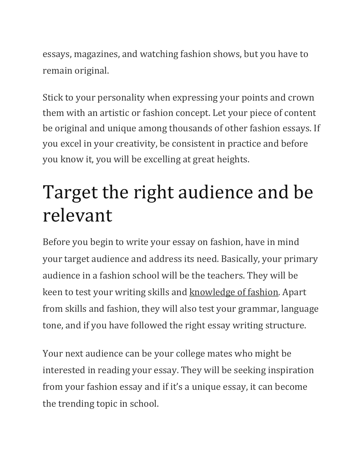essays, magazines, and watching fashion shows, but you have to remain original.

Stick to your personality when expressing your points and crown them with an artistic or fashion concept. Let your piece of content be original and unique among thousands of other fashion essays. If you excel in your creativity, be consistent in practice and before you know it, you will be excelling at great heights.

# Target the right audience and be relevant

Before you begin to write your essay on fashion, have in mind your target audience and address its need. Basically, your primary audience in a fashion school will be the teachers. They will be keen to test your writing skills and [knowledge of fashion.](https://www.thefashionstudenthub.com/blog/25-Ways-to-develop-Your-Fashion-Knowledge-and-Skills-for-Free) Apart from skills and fashion, they will also test your grammar, language tone, and if you have followed the right essay writing structure.

Your next audience can be your college mates who might be interested in reading your essay. They will be seeking inspiration from your fashion essay and if it's a unique essay, it can become the trending topic in school.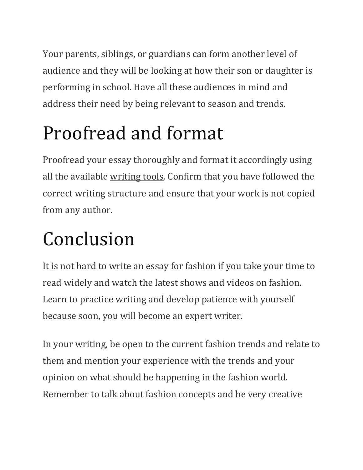Your parents, siblings, or guardians can form another level of audience and they will be looking at how their son or daughter is performing in school. Have all these audiences in mind and address their need by being relevant to season and trends.

# Proofread and format

Proofread your essay thoroughly and format it accordingly using all the available [writing tools.](https://annhandley.com/8-writing-tools-i-use-every-day/) Confirm that you have followed the correct writing structure and ensure that your work is not copied from any author.

# Conclusion

It is not hard to write an essay for fashion if you take your time to read widely and watch the latest shows and videos on fashion. Learn to practice writing and develop patience with yourself because soon, you will become an expert writer.

In your writing, be open to the current fashion trends and relate to them and mention your experience with the trends and your opinion on what should be happening in the fashion world. Remember to talk about fashion concepts and be very creative